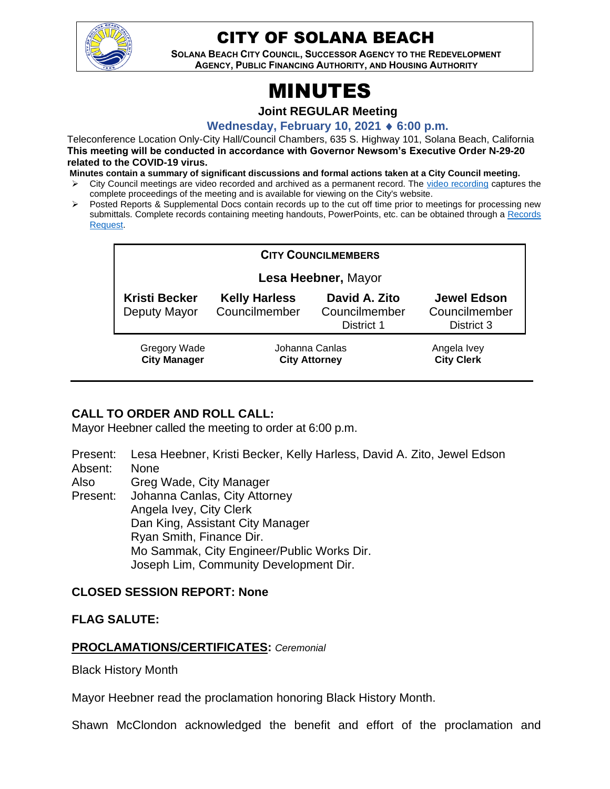

# CITY OF SOLANA BEACH

**SOLANA BEACH CITY COUNCIL, SUCCESSOR AGENCY TO THE REDEVELOPMENT AGENCY, PUBLIC FINANCING AUTHORITY, AND HOUSING AUTHORITY** 

# MINUTES

**Joint REGULAR Meeting**

**Wednesday, February 10, 2021 6:00 p.m.**

Teleconference Location Only-City Hall/Council Chambers, 635 S. Highway 101, Solana Beach, California **This meeting will be conducted in accordance with Governor Newsom's Executive Order N-29-20 related to the COVID-19 virus.**

**Minutes contain a summary of significant discussions and formal actions taken at a City Council meeting.**

- ➢ City Council meetings are video recorded and archived as a permanent record. The [video recording](https://www.ci.solana-beach.ca.us/index.asp?SEC=F0F1200D-21C6-4A88-8AE1-0BC07C1A81A7&Type=B_BASIC) captures the complete proceedings of the meeting and is available for viewing on the City's website.
- Posted Reports & Supplemental Docs contain records up to the cut off time prior to meetings for processing new submittals. Complete records containing meeting handouts, PowerPoints, etc. can be obtained through a Records [Request.](http://www.ci.solana-beach.ca.us/index.asp?SEC=F5D45D10-70CE-4291-A27C-7BD633FC6742&Type=B_BASIC)

| <b>CITY COUNCILMEMBERS</b>                 |                                        |                                              |                                                   |
|--------------------------------------------|----------------------------------------|----------------------------------------------|---------------------------------------------------|
| Lesa Heebner, Mayor                        |                                        |                                              |                                                   |
| <b>Kristi Becker</b><br>Deputy Mayor       | <b>Kelly Harless</b><br>Councilmember  | David A. Zito<br>Councilmember<br>District 1 | <b>Jewel Edson</b><br>Councilmember<br>District 3 |
| <b>Gregory Wade</b><br><b>City Manager</b> | Johanna Canlas<br><b>City Attorney</b> |                                              | Angela Ivey<br><b>City Clerk</b>                  |

# **CALL TO ORDER AND ROLL CALL:**

Mayor Heebner called the meeting to order at 6:00 p.m.

- Present: Lesa Heebner, Kristi Becker, Kelly Harless, David A. Zito, Jewel Edson
- Absent: None

Also Greg Wade, City Manager

Present: Johanna Canlas, City Attorney Angela Ivey, City Clerk Dan King, Assistant City Manager Ryan Smith, Finance Dir. Mo Sammak, City Engineer/Public Works Dir. Joseph Lim, Community Development Dir.

# **CLOSED SESSION REPORT: None**

# **FLAG SALUTE:**

# **PROCLAMATIONS/CERTIFICATES:** *Ceremonial*

Black History Month

Mayor Heebner read the proclamation honoring Black History Month.

Shawn McClondon acknowledged the benefit and effort of the proclamation and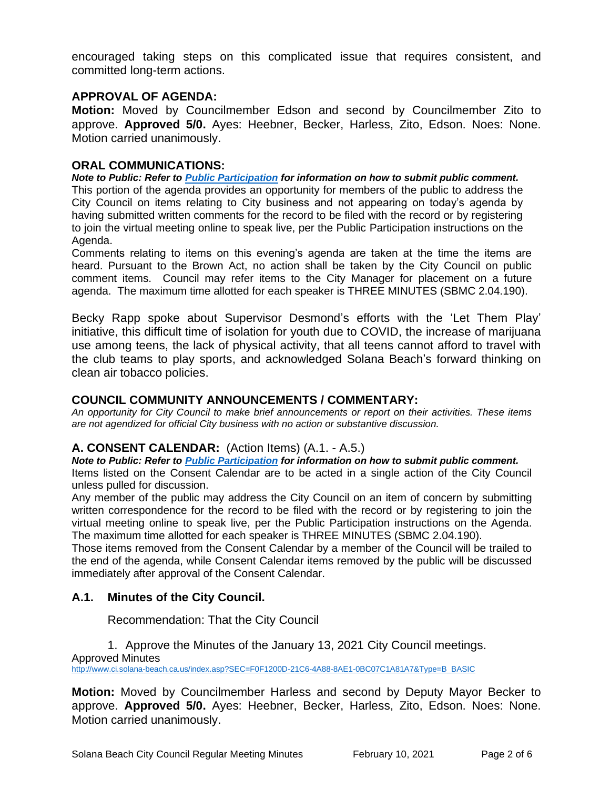encouraged taking steps on this complicated issue that requires consistent, and committed long-term actions.

#### **APPROVAL OF AGENDA:**

**Motion:** Moved by Councilmember Edson and second by Councilmember Zito to approve. **Approved 5/0.** Ayes: Heebner, Becker, Harless, Zito, Edson. Noes: None. Motion carried unanimously.

#### **ORAL COMMUNICATIONS:**

*Note to Public: Refer to Public Participation for information on how to submit public comment.*  This portion of the agenda provides an opportunity for members of the public to address the City Council on items relating to City business and not appearing on today's agenda by having submitted written comments for the record to be filed with the record or by registering to join the virtual meeting online to speak live, per the Public Participation instructions on the Agenda.

Comments relating to items on this evening's agenda are taken at the time the items are heard. Pursuant to the Brown Act, no action shall be taken by the City Council on public comment items. Council may refer items to the City Manager for placement on a future agenda. The maximum time allotted for each speaker is THREE MINUTES (SBMC 2.04.190).

Becky Rapp spoke about Supervisor Desmond's efforts with the 'Let Them Play' initiative, this difficult time of isolation for youth due to COVID, the increase of marijuana use among teens, the lack of physical activity, that all teens cannot afford to travel with the club teams to play sports, and acknowledged Solana Beach's forward thinking on clean air tobacco policies.

#### **COUNCIL COMMUNITY ANNOUNCEMENTS / COMMENTARY:**

*An opportunity for City Council to make brief announcements or report on their activities. These items are not agendized for official City business with no action or substantive discussion.* 

#### **A. CONSENT CALENDAR:** (Action Items) (A.1. - A.5.)

*Note to Public: Refer to Public Participation for information on how to submit public comment.*  Items listed on the Consent Calendar are to be acted in a single action of the City Council unless pulled for discussion.

Any member of the public may address the City Council on an item of concern by submitting written correspondence for the record to be filed with the record or by registering to join the virtual meeting online to speak live, per the Public Participation instructions on the Agenda. The maximum time allotted for each speaker is THREE MINUTES (SBMC 2.04.190).

Those items removed from the Consent Calendar by a member of the Council will be trailed to the end of the agenda, while Consent Calendar items removed by the public will be discussed immediately after approval of the Consent Calendar.

# **A.1. Minutes of the City Council.**

Recommendation: That the City Council

1. Approve the Minutes of the January 13, 2021 City Council meetings. Approved Minutes [http://www.ci.solana-beach.ca.us/index.asp?SEC=F0F1200D-21C6-4A88-8AE1-0BC07C1A81A7&Type=B\\_BASIC](http://www.ci.solana-beach.ca.us/index.asp?SEC=F0F1200D-21C6-4A88-8AE1-0BC07C1A81A7&Type=B_BASIC)

**Motion:** Moved by Councilmember Harless and second by Deputy Mayor Becker to approve. **Approved 5/0.** Ayes: Heebner, Becker, Harless, Zito, Edson. Noes: None. Motion carried unanimously.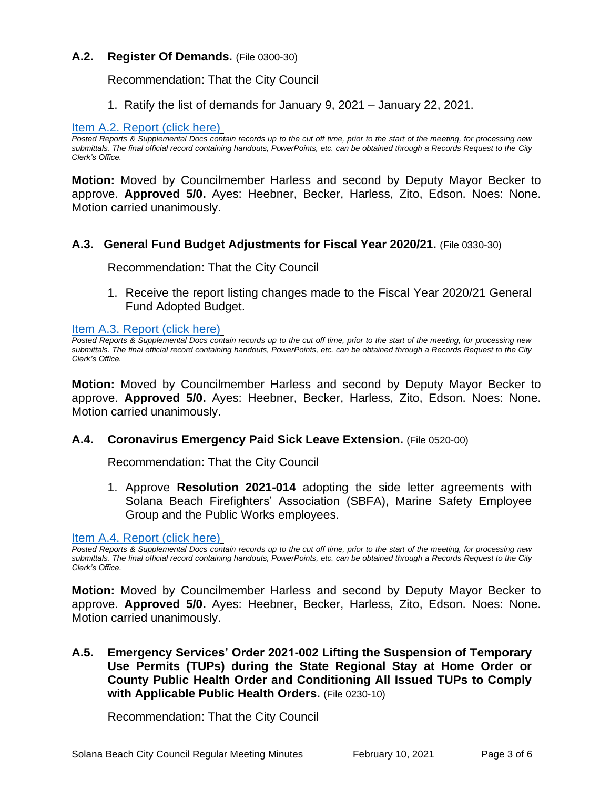#### **A.2. Register Of Demands.** (File 0300-30)

Recommendation: That the City Council

1. Ratify the list of demands for January 9, 2021 – January 22, 2021.

#### [Item A.2. Report \(click here\)](https://solanabeach.govoffice3.com/vertical/Sites/%7B840804C2-F869-4904-9AE3-720581350CE7%7D/uploads/Item_A.2._Report_(click_here)_2-10-21_-_O.pdf)

*Posted Reports & Supplemental Docs contain records up to the cut off time, prior to the start of the meeting, for processing new submittals. The final official record containing handouts, PowerPoints, etc. can be obtained through a Records Request to the City Clerk's Office.*

**Motion:** Moved by Councilmember Harless and second by Deputy Mayor Becker to approve. **Approved 5/0.** Ayes: Heebner, Becker, Harless, Zito, Edson. Noes: None. Motion carried unanimously.

#### **A.3. General Fund Budget Adjustments for Fiscal Year 2020/21.** (File 0330-30)

Recommendation: That the City Council

1. Receive the report listing changes made to the Fiscal Year 2020/21 General Fund Adopted Budget.

[Item A.3. Report \(click here\)](https://solanabeach.govoffice3.com/vertical/Sites/%7B840804C2-F869-4904-9AE3-720581350CE7%7D/uploads/Item_A.3._Report_(click_here)_2-10-21_-_O.pdf)

*Posted Reports & Supplemental Docs contain records up to the cut off time, prior to the start of the meeting, for processing new submittals. The final official record containing handouts, PowerPoints, etc. can be obtained through a Records Request to the City Clerk's Office.*

**Motion:** Moved by Councilmember Harless and second by Deputy Mayor Becker to approve. **Approved 5/0.** Ayes: Heebner, Becker, Harless, Zito, Edson. Noes: None. Motion carried unanimously.

#### **A.4. Coronavirus Emergency Paid Sick Leave Extension.** (File 0520-00)

Recommendation: That the City Council

1. Approve **Resolution 2021-014** adopting the side letter agreements with Solana Beach Firefighters' Association (SBFA), Marine Safety Employee Group and the Public Works employees.

[Item A.4. Report \(click here\)](https://solanabeach.govoffice3.com/vertical/Sites/%7B840804C2-F869-4904-9AE3-720581350CE7%7D/uploads/Item_A.4._Report_(click_here)_2-10-21_-_O.pdf)

**Motion:** Moved by Councilmember Harless and second by Deputy Mayor Becker to approve. **Approved 5/0.** Ayes: Heebner, Becker, Harless, Zito, Edson. Noes: None. Motion carried unanimously.

# **A.5. Emergency Services' Order 2021-002 Lifting the Suspension of Temporary Use Permits (TUPs) during the State Regional Stay at Home Order or County Public Health Order and Conditioning All Issued TUPs to Comply with Applicable Public Health Orders.** (File 0230-10)

Recommendation: That the City Council

*Posted Reports & Supplemental Docs contain records up to the cut off time, prior to the start of the meeting, for processing new submittals. The final official record containing handouts, PowerPoints, etc. can be obtained through a Records Request to the City Clerk's Office.*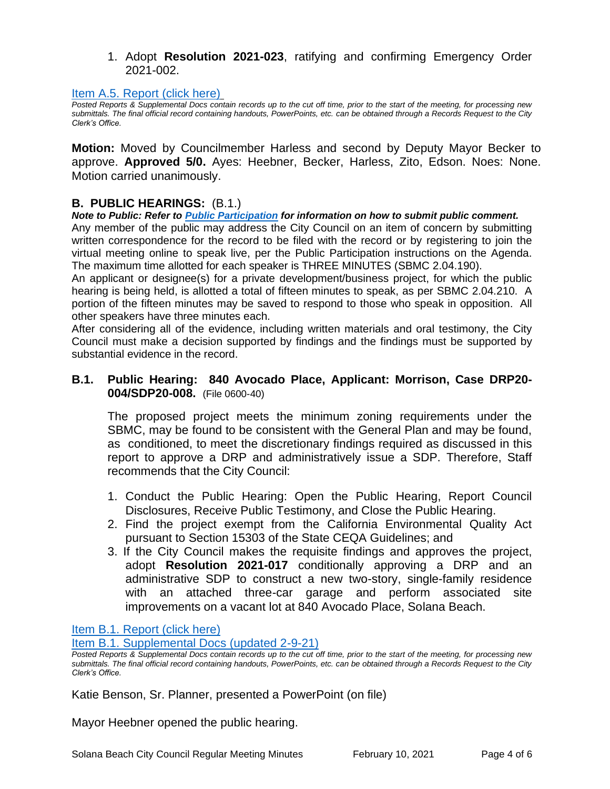#### 1. Adopt **Resolution 2021-023**, ratifying and confirming Emergency Order 2021-002.

#### [Item A.5. Report \(click here\)](https://solanabeach.govoffice3.com/vertical/Sites/%7B840804C2-F869-4904-9AE3-720581350CE7%7D/uploads/Item_A.5._Report_(click_here)_02-10-21_-_O.pdf)

*Posted Reports & Supplemental Docs contain records up to the cut off time, prior to the start of the meeting, for processing new submittals. The final official record containing handouts, PowerPoints, etc. can be obtained through a Records Request to the City Clerk's Office.*

**Motion:** Moved by Councilmember Harless and second by Deputy Mayor Becker to approve. **Approved 5/0.** Ayes: Heebner, Becker, Harless, Zito, Edson. Noes: None. Motion carried unanimously.

#### **B. PUBLIC HEARINGS:** (B.1.)

*Note to Public: Refer to Public Participation for information on how to submit public comment.* 

Any member of the public may address the City Council on an item of concern by submitting written correspondence for the record to be filed with the record or by registering to join the virtual meeting online to speak live, per the Public Participation instructions on the Agenda. The maximum time allotted for each speaker is THREE MINUTES (SBMC 2.04.190).

An applicant or designee(s) for a private development/business project, for which the public hearing is being held, is allotted a total of fifteen minutes to speak, as per SBMC 2.04.210. A portion of the fifteen minutes may be saved to respond to those who speak in opposition. All other speakers have three minutes each.

After considering all of the evidence, including written materials and oral testimony, the City Council must make a decision supported by findings and the findings must be supported by substantial evidence in the record.

#### **B.1. Public Hearing: 840 Avocado Place, Applicant: Morrison, Case DRP20- 004/SDP20-008.** (File 0600-40)

The proposed project meets the minimum zoning requirements under the SBMC, may be found to be consistent with the General Plan and may be found, as conditioned, to meet the discretionary findings required as discussed in this report to approve a DRP and administratively issue a SDP. Therefore, Staff recommends that the City Council:

- 1. Conduct the Public Hearing: Open the Public Hearing, Report Council Disclosures, Receive Public Testimony, and Close the Public Hearing.
- 2. Find the project exempt from the California Environmental Quality Act pursuant to Section 15303 of the State CEQA Guidelines; and
- 3. If the City Council makes the requisite findings and approves the project, adopt **Resolution 2021-017** conditionally approving a DRP and an administrative SDP to construct a new two-story, single-family residence with an attached three-car garage and perform associated site improvements on a vacant lot at 840 Avocado Place, Solana Beach.

[Item B.1. Report \(click here\)](https://solanabeach.govoffice3.com/vertical/Sites/%7B840804C2-F869-4904-9AE3-720581350CE7%7D/uploads/Item_B.1._Report_(click_here)_2-10-21._-_O.pdf)

[Item B.1. Supplemental Docs \(updated 2-9-21\)](https://solanabeach.govoffice3.com/vertical/Sites/%7B840804C2-F869-4904-9AE3-720581350CE7%7D/uploads/Item_B.1._Supplemental_Docs_(upd._2-8-21)_-_O.pdf)

Katie Benson, Sr. Planner, presented a PowerPoint (on file)

Mayor Heebner opened the public hearing.

*Posted Reports & Supplemental Docs contain records up to the cut off time, prior to the start of the meeting, for processing new submittals. The final official record containing handouts, PowerPoints, etc. can be obtained through a Records Request to the City Clerk's Office.*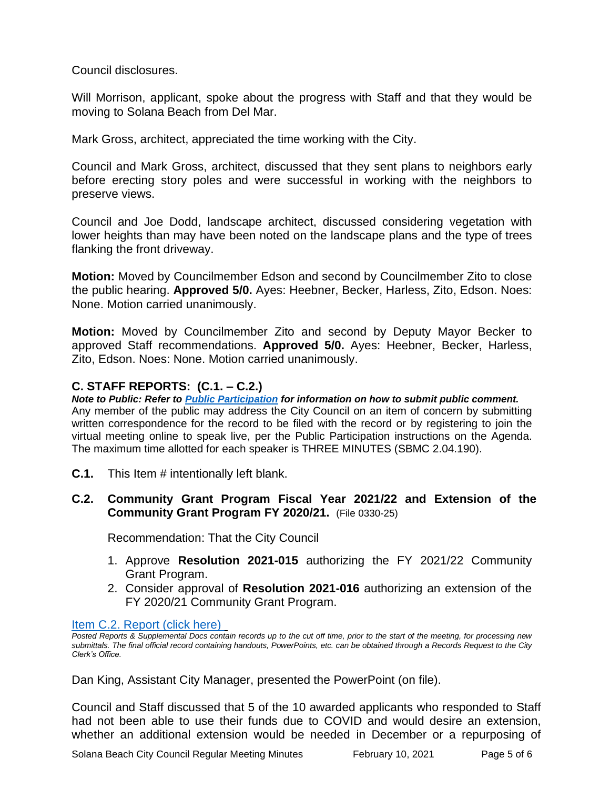Council disclosures.

Will Morrison, applicant, spoke about the progress with Staff and that they would be moving to Solana Beach from Del Mar.

Mark Gross, architect, appreciated the time working with the City.

Council and Mark Gross, architect, discussed that they sent plans to neighbors early before erecting story poles and were successful in working with the neighbors to preserve views.

Council and Joe Dodd, landscape architect, discussed considering vegetation with lower heights than may have been noted on the landscape plans and the type of trees flanking the front driveway.

**Motion:** Moved by Councilmember Edson and second by Councilmember Zito to close the public hearing. **Approved 5/0.** Ayes: Heebner, Becker, Harless, Zito, Edson. Noes: None. Motion carried unanimously.

**Motion:** Moved by Councilmember Zito and second by Deputy Mayor Becker to approved Staff recommendations. **Approved 5/0.** Ayes: Heebner, Becker, Harless, Zito, Edson. Noes: None. Motion carried unanimously.

# **C. STAFF REPORTS: (C.1. – C.2.)**

*Note to Public: Refer to Public Participation for information on how to submit public comment.*  Any member of the public may address the City Council on an item of concern by submitting written correspondence for the record to be filed with the record or by registering to join the virtual meeting online to speak live, per the Public Participation instructions on the Agenda. The maximum time allotted for each speaker is THREE MINUTES (SBMC 2.04.190).

**C.1.** This Item # intentionally left blank.

# **C.2. Community Grant Program Fiscal Year 2021/22 and Extension of the Community Grant Program FY 2020/21.** (File 0330-25)

Recommendation: That the City Council

- 1. Approve **Resolution 2021-015** authorizing the FY 2021/22 Community Grant Program.
- 2. Consider approval of **Resolution 2021-016** authorizing an extension of the FY 2020/21 Community Grant Program.

Item [C.2. Report \(click here\)](https://solanabeach.govoffice3.com/vertical/Sites/%7B840804C2-F869-4904-9AE3-720581350CE7%7D/uploads/Item_C.2._Report_(click_here)_2-10-21_-_O.pdf) 

*Posted Reports & Supplemental Docs contain records up to the cut off time, prior to the start of the meeting, for processing new submittals. The final official record containing handouts, PowerPoints, etc. can be obtained through a Records Request to the City Clerk's Office.*

Dan King, Assistant City Manager, presented the PowerPoint (on file).

Council and Staff discussed that 5 of the 10 awarded applicants who responded to Staff had not been able to use their funds due to COVID and would desire an extension, whether an additional extension would be needed in December or a repurposing of